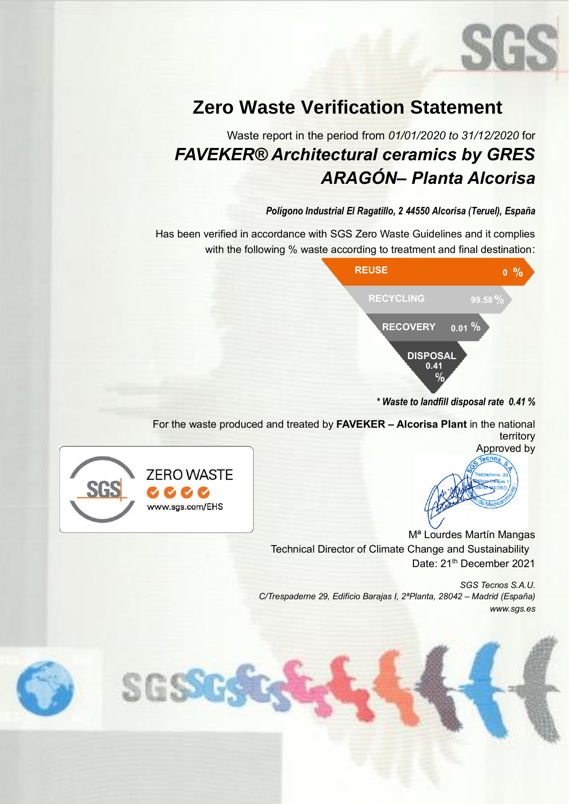

# **Zero Waste Verification Statement**

### Waste report in the period from *01/01/2020 to 31/12/2020* for *FAVEKER® Architectural ceramics by GRES ARAGÓN– Planta Alcorisa*

### *Polígono Industrial El Ragatillo, 2 44550 Alcorisa (Teruel), España*

Has been verified in accordance with SGS Zero Waste Guidelines and it complies with the following % waste according to treatment and final destination:



*\* Waste to landfill disposal rate 0.41 %*

For the waste produced and treated by **FAVEKER – Alcorisa Plant** in the national territory Approved by



SGSSG

Mª Lourdes Martín Mangas Technical Director of Climate Change and Sustainability Date: 21<sup>th</sup> December 2021

*SGS Tecnos S.A.U. C/Trespaderne 29, Edificio Barajas I, 2ªPlanta, 28042 – Madrid (España) www.sgs.es*